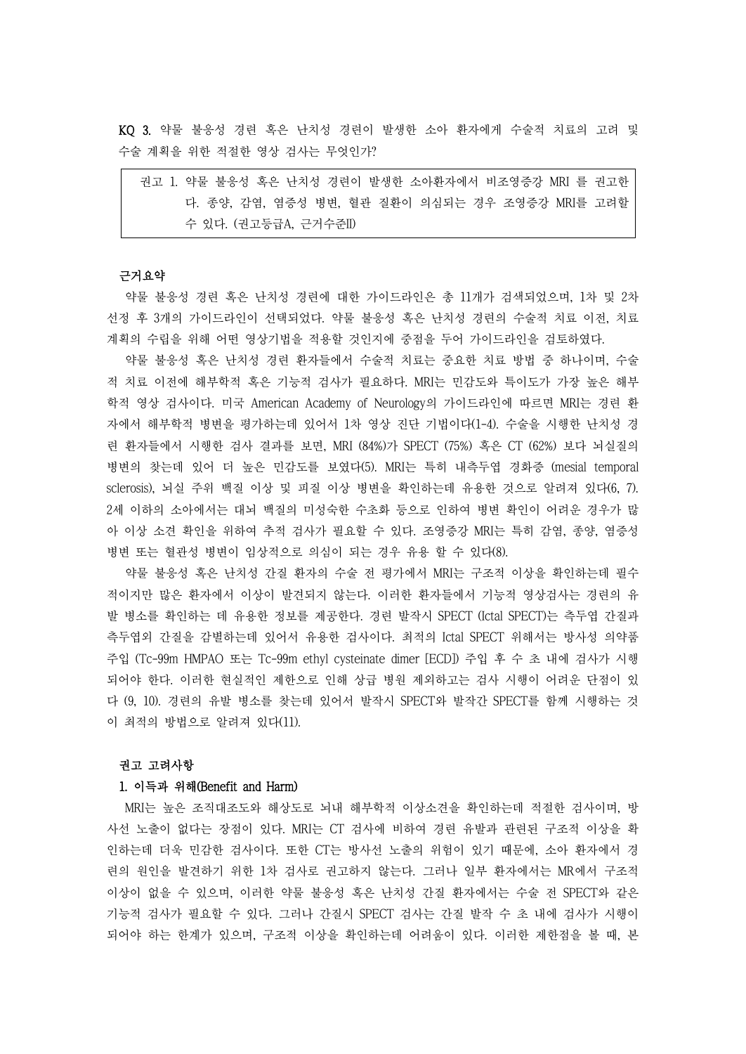KQ 3. 약물 불응성 경련 혹은 난치성 경련이 발생한 소아 환자에게 수술적 치료의 고려 및 수술 계획을 위한 적절한 영상 검사는 무엇인가?

| 권고 1. 약물 불응성 혹은 난치성 경련이 발생한 소아환자에서 비조영증강 MRI 를 권고한 |
|----------------------------------------------------|
| 다. 종양, 감염, 염증성 병변, 혈관 질환이 의심되는 경우 조영증강 MRI를 고려할    |
| 수 있다. (권고등급A, 근거수준II)                              |

# 근거요약

약물 불응성 경련 혹은 난치성 경련에 대한 가이드라인은 총 11개가 검색되었으며, 1차 및 2차 선정 후 3개의 가이드라인이 선택되었다. 약물 불응성 혹은 난치성 경련의 수술적 치료 이전, 치료

계획의 수립을 위해 어떤 영상기법을 적용할 것인지에 중점을 두어 가이드라인을 검토하였다.<br>-<br>약물 불응성 혹은 난치성 경련 환자들에서 수술적 치료는 중요한 치료 방법 중 하나이며, 수술 적 치료 이전에 해부학적 혹은 기능적 검사가 필요하다. MRI는 민감도와 특이도가 가장 높은 해부 학적 영상 검사이다. 미국 American Academy of Neurology의 가이드라인에 따르면 MRI는 경련 환 자에서 해부학적 병변을 평가하는데 있어서 1차 영상 진단 기법이다(1-4). 수술을 시행한 난치성 경 련 환자들에서 시행한 검사 결과를 보면, MRI (84%)가 SPECT (75%) 혹은 CT (62%) 보다 뇌실질의 병변의 찾는데 있어 더 높은 민감도를 보였다(5). MRI는 특히 내측두엽 경화증 (mesial temporal sclerosis), 뇌실 주위 백질 이상 및 피질 이상 병변을 확인하는데 유용한 것으로 알려져 있다(6, 7). 2세 이하의 소아에서는 대뇌 백질의 미성숙한 수초화 등으로 인하여 병변 확인이 어려운 경우가 많 아 이상 소견 확인을 위하여 추적 검사가 필요할 수 있다. 조영증강 MRI는 특히 감염, 종양, 염증성 병변 또는 혈관성 병변이 임상적으로 의심이 되는 경우 유용 할 수 있다(8).

약물 불응성 혹은 난치성 간질 환자의 수술 전 평가에서 MRI는 구조적 이상을 확인하는데 필수 적이지만 많은 환자에서 이상이 발견되지 않는다. 이러한 환자들에서 기능적 영상검사는 경련의 유 발 병소를 확인하는 데 유용한 정보를 제공한다. 경련 발작시 SPECT (Ictal SPECT)는 측두엽 간질과 측두엽외 간질을 감별하는데 있어서 유용한 검사이다. 최적의 Ictal SPECT 위해서는 방사성 의약품 주입 (Tc-99m HMPAO 또는 Tc-99m ethyl cysteinate dimer [ECD]) 주입 후 수 초 내에 검사가 시행 되어야 한다. 이러한 현실적인 제한으로 인해 상급 병원 제외하고는 검사 시행이 어려운 단점이 있 다 (9, 10). 경련의 유발 병소를 찾는데 있어서 발작시 SPECT와 발작간 SPECT를 함께 시행하는 것 이 최적의 방법으로 알려져 있다(11).

#### 권고 고려사항

#### 1. 이득과 위해(Benefit and Harm)

MRI는 높은 조직대조도와 해상도로 뇌내 해부학적 이상소견을 확인하는데 적절한 검사이며, 방 사선 노출이 없다는 장점이 있다. MRI는 CT 검사에 비하여 경련 유발과 관련된 구조적 이상을 확 인하는데 더욱 민감한 검사이다. 또한 CT는 방사선 노출의 위험이 있기 때문에, 소아 환자에서 경 련의 원인을 발견하기 위한 1차 검사로 권고하지 않는다. 그러나 일부 환자에서는 MR에서 구조적 이상이 없을 수 있으며, 이러한 약물 불응성 혹은 난치성 간질 환자에서는 수술 전 SPECT와 같은 기능적 검사가 필요할 수 있다. 그러나 간질시 SPECT 검사는 간질 발작 수 초 내에 검사가 시행이 되어야 하는 한계가 있으며, 구조적 이상을 확인하는데 어려움이 있다. 이러한 제한점을 볼 때, 본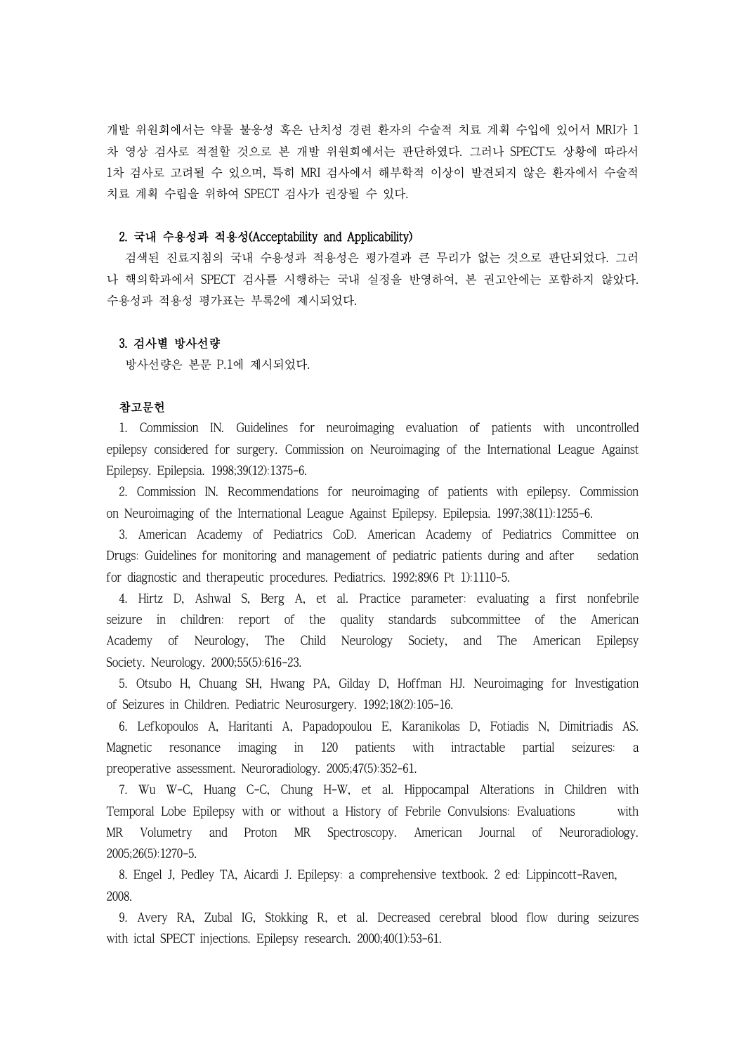개발 위원회에서는 약물 불응성 혹은 난치성 경련 환자의 수술적 치료 계획 수입에 있어서 MRI가 1 차 영상 검사로 적절할 것으로 본 개발 위원회에서는 판단하였다. 그러나 SPECT도 상황에 따라서 1차 검사로 고려될 수 있으며, 특히 MRI 검사에서 해부학적 이상이 발견되지 않은 환자에서 수술적 치료 계획 수립을 위하여 SPECT 검사가 권장될 수 있다.

## 2. 국내 수용성과 적용성(Acceptability and Applicability)

검색된 진료지침의 국내 수용성과 적용성은 평가결과 큰 무리가 없는 것으로 판단되었다. 그러 나 핵의학과에서 SPECT 검사를 시행하는 국내 실정을 반영하여, 본 권고안에는 포함하지 않았다.<br>수용성과 적용성 평가표는 부록2에 제시되었다.

### 3. 검사별 방사선량

방사선량은 본문 P.1에 제시되었다.

### 참고문헌

1. Commission IN. Guidelines for neuroimaging evaluation of patients with uncontrolled epilepsy considered for surgery. Commission on Neuroimaging of the International League Against Epilepsy. Epilepsia. 1998;39(12):1375-6.

2. Commission IN. Recommendations for neuroimaging of patients with epilepsy. Commission on Neuroimaging of the International League Against Epilepsy. Epilepsia. 1997;38(11):1255-6.

3. American Academy of Pediatrics CoD. American Academy of Pediatrics Committee on Drugs: Guidelines for monitoring and management of pediatric patients during and after sedation for diagnostic and therapeutic procedures. Pediatrics. 1992;89(6 Pt 1):1110-5.

4. Hirtz D, Ashwal S, Berg A, et al. Practice parameter: evaluating a first nonfebrile seizure in children: report of the quality standards subcommittee of the American Academy of Neurology, The Child Neurology Society, and The American Epilepsy Society. Neurology. 2000;55(5):616-23.

5. Otsubo H, Chuang SH, Hwang PA, Gilday D, Hoffman HJ. Neuroimaging for Investigation of Seizures in Children. Pediatric Neurosurgery. 1992;18(2):105-16.

6. Lefkopoulos A, Haritanti A, Papadopoulou E, Karanikolas D, Fotiadis N, Dimitriadis AS. Magnetic resonance imaging in 120 patients with intractable partial seizures: a preoperative assessment. Neuroradiology. 2005;47(5):352-61.

7. Wu W-C, Huang C-C, Chung H-W, et al. Hippocampal Alterations in Children with Temporal Lobe Epilepsy with or without a History of Febrile Convulsions: Evaluations with MR Volumetry and Proton MR Spectroscopy. American Journal of Neuroradiology. 2005;26(5):1270-5.

8. Engel J, Pedley TA, Aicardi J. Epilepsy: a comprehensive textbook. 2 ed: Lippincott-Raven, 2008.

9. Avery RA, Zubal IG, Stokking R, et al. Decreased cerebral blood flow during seizures with ictal SPECT injections. Epilepsy research. 2000;40(1):53-61.